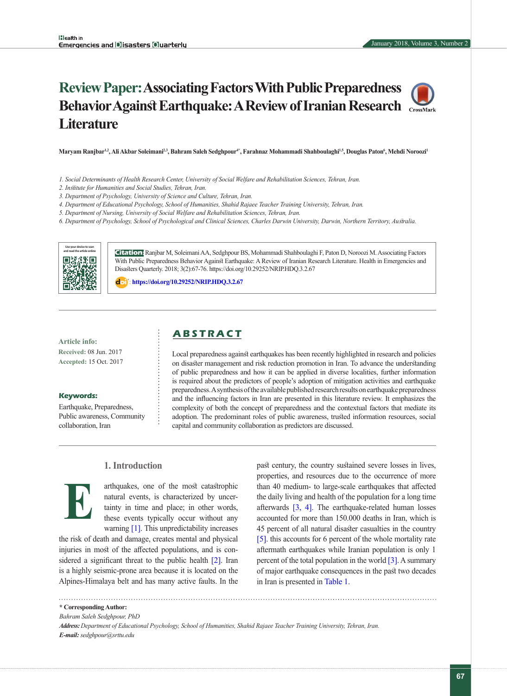# **Review Paper: Associating Factors With Public Preparedness Behavior Against Earthquake: A Review of Iranian Research Literature**



- *1. Social Determinants of Health Research Center, University of Social Welfare and Rehabilitation Sciences, Tehran, Iran.*
- *2. Institute for Humanities and Social Studies, Tehran, Iran.*
- *3. Department of Psychology, University of Science and Culture, Tehran, Iran.*
- *4. Department of Educational Psychology, School of Humanities, Shahid Rajaee Teacher Training University, Tehran, Iran.*
- *5. Department of Nursing, University of Social Welfare and Rehabilitation Sciences, Tehran, Iran.*

*6. Department of Psychology, School of Psychological and Clinical Sciences, Charles Darwin University, Darwin, Northern Territory, Australia.*



**Citation:** Ranjbar M, Soleimani AA, Sedghpour BS, Mohammadi Shahboulaghi F, Paton D, Noroozi M. Associating Factors With Public Preparedness Behavior Against Earthquake: A Review of Iranian Research Literature. Health in Emergencies and Disasters Quarterly. 2018; 3(2):67-76. https://doi.org/10.29252/NRIP.HDQ.3.2.67

: **<https://doi.org/10.29252/NRIP.HDQ.3.2.67>**

**Article info: Received:** 08 Jun. 2017 **Accepted:** 15 Oct. 2017

#### **Keywords:**

Earthquake, Preparedness, Public awareness, Community collaboration, Iran

# **A B S T R A C T**

Local preparedness against earthquakes has been recently highlighted in research and policies on disaster management and risk reduction promotion in Iran. To advance the understanding of public preparedness and how it can be applied in diverse localities, further information is required about the predictors of people's adoption of mitigation activities and earthquake preparedness. A synthesis of the available published research results on earthquake preparedness and the influencing factors in Iran are presented in this literature review. It emphasizes the complexity of both the concept of preparedness and the contextual factors that mediate its adoption. The predominant roles of public awareness, trusted information resources, social capital and community collaboration as predictors are discussed.

## **1. Introduction**



arthquakes, one of the most catastrophic natural events, is characterized by uncertainty in time and place; in other words, these events typically occur without any warning [\[1\]](#page-7-0). This unpredictability increases

the risk of death and damage, creates mental and physical injuries in most of the affected populations, and is con-sidered a significant threat to the public health [\[2\]](#page-7-1). Iran is a highly seismic-prone area because it is located on the Alpines-Himalaya belt and has many active faults. In the past century, the country sustained severe losses in lives, properties, and resources due to the occurrence of more than 40 medium- to large-scale earthquakes that affected the daily living and health of the population for a long time afterwards [\[3,](#page-7-2) [4\].](#page-7-3) The earthquake-related human losses accounted for more than 150.000 deaths in Iran, which is 45 percent of all natural disaster casualties in the country [\[5\]](#page-7-4). this accounts for 6 percent of the whole mortality rate aftermath earthquakes while Iranian population is only 1 percent of the total population in the world  $\lceil 3 \rceil$ . A summary of major earthquake consequences in the past two decades in Iran is presented in Table 1.

**\* Corresponding Author:**

*Bahram Saleh Sedghpour, PhD*

*Address: Department of Educational Psychology, School of Humanities, Shahid Rajaee Teacher Training University, Tehran, Iran. E-mail: sedghpour@srttu.edu*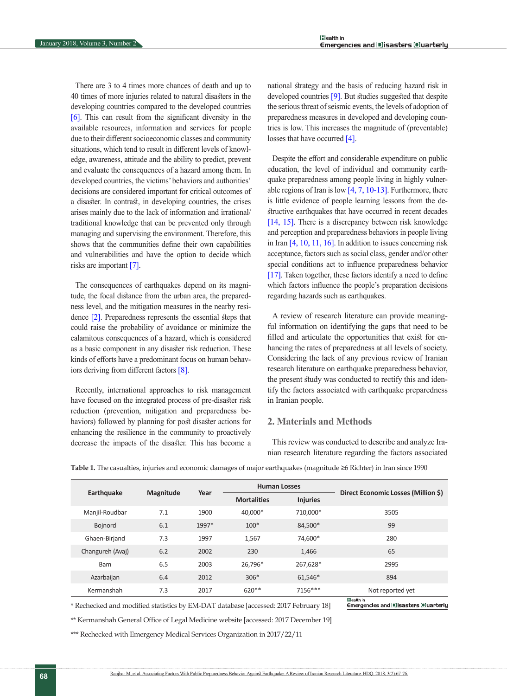There are 3 to 4 times more chances of death and up to 40 times of more injuries related to natural disasters in the developing countries compared to the developed countries [\[6\]](#page-8-0). This can result from the significant diversity in the available resources, information and services for people due to their different socioeconomic classes and community situations, which tend to result in different levels of knowledge, awareness, attitude and the ability to predict, prevent and evaluate the consequences of a hazard among them. In developed countries, the victims' behaviors and authorities' decisions are considered important for critical outcomes of a disaster. In contrast, in developing countries, the crises arises mainly due to the lack of information and irrational/ traditional knowledge that can be prevented only through managing and supervising the environment. Therefore, this shows that the communities define their own capabilities and vulnerabilities and have the option to decide which risks are important [\[7\]](#page-8-1).

The consequences of earthquakes depend on its magnitude, the focal distance from the urban area, the preparedness level, and the mitigation measures in the nearby resi-dence [\[2\].](#page-7-1) Preparedness represents the essential steps that could raise the probability of avoidance or minimize the calamitous consequences of a hazard, which is considered as a basic component in any disaster risk reduction. These kinds of efforts have a predominant focus on human behaviors deriving from different factors [\[8\]](#page-8-2).

Recently, international approaches to risk management have focused on the integrated process of pre-disaster risk reduction (prevention, mitigation and preparedness behaviors) followed by planning for post disaster actions for enhancing the resilience in the community to proactively decrease the impacts of the disaster. This has become a national strategy and the basis of reducing hazard risk in developed countries [\[9\]](#page-8-3). But studies suggested that despite the serious threat of seismic events, the levels of adoption of preparedness measures in developed and developing countries is low. This increases the magnitude of (preventable) losses that have occurred [\[4\].](#page-7-3)

Despite the effort and considerable expenditure on public education, the level of individual and community earthquake preparedness among people living in highly vulnerable regions of Iran is low  $[4, 7, 10-13]$  $[4, 7, 10-13]$  $[4, 7, 10-13]$ . Furthermore, there is little evidence of people learning lessons from the destructive earthquakes that have occurred in recent decades [14, [15\]](#page-8-5). There is a discrepancy between risk knowledge and perception and preparedness behaviors in people living in Iran [\[4,](#page-7-3) [10,](#page-8-4) [11,](#page-8-6) [16\].](#page-8-7) In addition to issues concerning risk acceptance, factors such as social class, gender and/or other special conditions act to influence preparedness behavior [\[17\].](#page-8-8) Taken together, these factors identify a need to define which factors influence the people's preparation decisions regarding hazards such as earthquakes.

A review of research literature can provide meaningful information on identifying the gaps that need to be filled and articulate the opportunities that exist for enhancing the rates of preparedness at all levels of society. Considering the lack of any previous review of Iranian research literature on earthquake preparedness behavior, the present study was conducted to rectify this and identify the factors associated with earthquake preparedness in Iranian people.

# **2. Materials and Methods**

This review was conducted to describe and analyze Iranian research literature regarding the factors associated

| <b>Magnitude</b> | Year  | <b>Human Losses</b> |                 |                                     |  |
|------------------|-------|---------------------|-----------------|-------------------------------------|--|
|                  |       | <b>Mortalities</b>  | <b>Injuries</b> | Direct Economic Losses (Million \$) |  |
| 7.1              | 1900  | 40,000*             | 710.000*        | 3505                                |  |
| 6.1              | 1997* | $100*$              | 84,500*         | 99                                  |  |
| 7.3              | 1997  | 1,567               | 74.600*         | 280                                 |  |
| 6.2              | 2002  | 230                 | 1,466           | 65                                  |  |
| 6.5              | 2003  | 26.796*             | 267,628*        | 2995                                |  |
| 6.4              | 2012  | $306*$              | 61,546*         | 894                                 |  |
| 7.3              | 2017  | $620**$             | 7156***         | Not reported yet                    |  |
|                  |       |                     |                 |                                     |  |

**Table 1.** The casualties, injuries and economic damages of major earthquakes (magnitude ≥6 Richter) in Iran since 1990

\* Rechecked and modified statistics by EM-DAT database [accessed: 2017 February 18]

Emergencles and Disasters Ouarterly

\*\* Kermanshah General Office of Legal Medicine website [accessed: 2017 December 19]

\*\*\* Rechecked with Emergency Medical Services Organization in 2017/22/11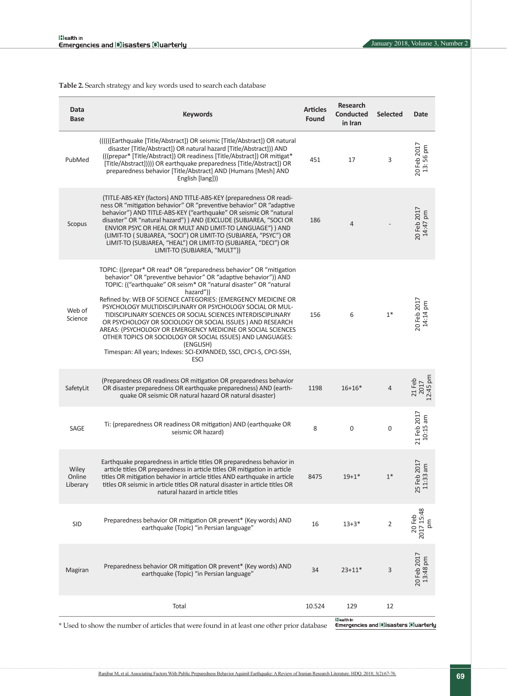<span id="page-2-0"></span>**Table 2.** Search strategy and key words used to search each database

| Data<br>Base                | <b>Keywords</b>                                                                                                                                                                                                                                                                                                                                                                                                                                                                                                                                                                                                                                                                                                      | <b>Articles</b><br>Found | <b>Research</b><br><b>Conducted</b><br>in Iran          | <b>Selected</b> | Date                                 |
|-----------------------------|----------------------------------------------------------------------------------------------------------------------------------------------------------------------------------------------------------------------------------------------------------------------------------------------------------------------------------------------------------------------------------------------------------------------------------------------------------------------------------------------------------------------------------------------------------------------------------------------------------------------------------------------------------------------------------------------------------------------|--------------------------|---------------------------------------------------------|-----------------|--------------------------------------|
| PubMed                      | (((((Earthquake [Title/Abstract]) OR seismic [Title/Abstract]) OR natural<br>disaster [Title/Abstract]) OR natural hazard [Title/Abstract])) AND<br>(((prepar* [Title/Abstract]) OR readiness [Title/Abstract]) OR mitigat*<br>[Title/Abstract])))) OR earthquake preparedness [Title/Abstract]) OR<br>preparedness behavior [Title/Abstract] AND (Humans [Mesh] AND<br>English [lang]))                                                                                                                                                                                                                                                                                                                             | 451                      | 17                                                      | 3               | 20 Feb 2017<br>13:56 pm              |
| Scopus                      | (TITLE-ABS-KEY (factors) AND TITLE-ABS-KEY (preparedness OR readi-<br>ness OR "mitigation behavior" OR "preventive behavior" OR "adaptive<br>behavior") AND TITLE-ABS-KEY ("earthquake" OR seismic OR "natural<br>disaster" OR "natural hazard") ) AND (EXCLUDE (SUBJAREA, "SOCI OR<br>ENVIOR PSYC OR HEAL OR MULT AND LIMIT-TO LANGUAGE") ) AND<br>(LIMIT-TO (SUBJAREA, "SOCI") OR LIMIT-TO (SUBJAREA, "PSYC") OR<br>LIMIT-TO (SUBJAREA, "HEAL") OR LIMIT-TO (SUBJAREA, "DECI") OR<br>LIMIT-TO (SUBJAREA, "MULT"))                                                                                                                                                                                                  | 186                      | 4                                                       |                 | 20 Feb 2017<br>14:47 pm              |
| Web of<br>Science           | TOPIC: ((prepar* OR read* OR "preparedness behavior" OR "mitigation<br>behavior" OR "preventive behavior" OR "adaptive behavior")) AND<br>TOPIC: (("earthquake" OR seism* OR "natural disaster" OR "natural<br>hazard"))<br>Refined by: WEB OF SCIENCE CATEGORIES: (EMERGENCY MEDICINE OR<br>PSYCHOLOGY MULTIDISCIPLINARY OR PSYCHOLOGY SOCIAL OR MUL-<br>TIDISCIPLINARY SCIENCES OR SOCIAL SCIENCES INTERDISCIPLINARY<br>OR PSYCHOLOGY OR SOCIOLOGY OR SOCIAL ISSUES ) AND RESEARCH<br>AREAS: (PSYCHOLOGY OR EMERGENCY MEDICINE OR SOCIAL SCIENCES<br>OTHER TOPICS OR SOCIOLOGY OR SOCIAL ISSUES) AND LANGUAGES:<br>(ENGLISH)<br>Timespan: All years; Indexes: SCI-EXPANDED, SSCI, CPCI-S, CPCI-SSH,<br><b>ESCI</b> | 156                      | 6                                                       | $1*$            | 20 Feb 2017<br>14:14 pm              |
| SafetyLit                   | (Preparedness OR readiness OR mitigation OR preparedness behavior<br>OR disaster preparedness OR earthquake preparedness) AND (earth-<br>quake OR seismic OR natural hazard OR natural disaster)                                                                                                                                                                                                                                                                                                                                                                                                                                                                                                                     | 1198                     | $16+16*$                                                | $\overline{4}$  | 12:45 pm<br>21 Feb<br>2017           |
| SAGE                        | Ti: (preparedness OR readiness OR mitigation) AND (earthquake OR<br>seismic OR hazard)                                                                                                                                                                                                                                                                                                                                                                                                                                                                                                                                                                                                                               | 8                        | 0                                                       | 0               | 21 Feb 2017<br>$10:15$ am            |
| Wiley<br>Online<br>Liberary | Earthquake preparedness in article titles OR preparedness behavior in<br>article titles OR preparedness in article titles OR mitigation in article<br>titles OR mitigation behavior in article titles AND earthquake in article<br>titles OR seismic in article titles OR natural disaster in article titles OR<br>natural hazard in article titles                                                                                                                                                                                                                                                                                                                                                                  | 8475                     | $19 + 1*$                                               | $1*$            | 2017<br>am<br>25 Feb 20<br>11:33 a   |
| <b>SID</b>                  | Preparedness behavior OR mitigation OR prevent* (Key words) AND<br>earthquake (Topic) "in Persian language"                                                                                                                                                                                                                                                                                                                                                                                                                                                                                                                                                                                                          | 16                       | $13 + 3*$                                               | $\overline{2}$  | 20 Feb<br>2017 15:48<br>$\mathsf{g}$ |
| Magiran                     | Preparedness behavior OR mitigation OR prevent* (Key words) AND<br>earthquake (Topic) "in Persian language"                                                                                                                                                                                                                                                                                                                                                                                                                                                                                                                                                                                                          | 34                       | $23 + 11*$                                              | 3               | 20 Feb 2017<br>13:48 pm              |
|                             | Total                                                                                                                                                                                                                                                                                                                                                                                                                                                                                                                                                                                                                                                                                                                | 10.524                   | 129                                                     | 12              |                                      |
|                             | * Used to show the number of articles that were found in at least one other prior database                                                                                                                                                                                                                                                                                                                                                                                                                                                                                                                                                                                                                           |                          | <b>Health</b> in<br>Emergencies and Disasters Ouarterly |                 |                                      |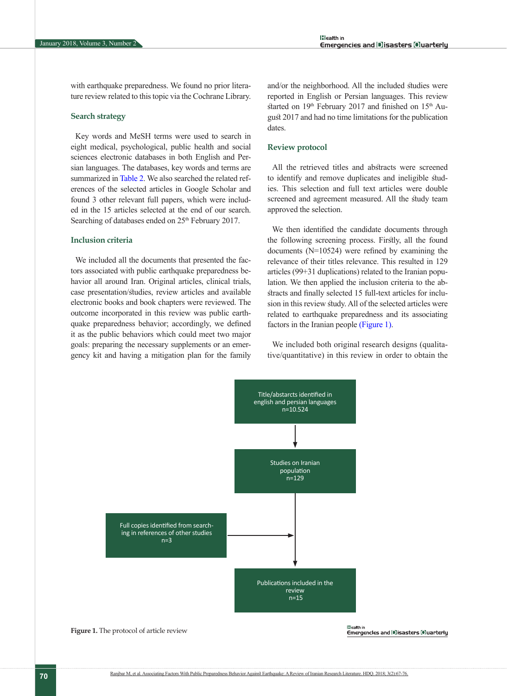with earthquake preparedness. We found no prior literature review related to this topic via the Cochrane Library.

#### **Search strategy**

Key words and MeSH terms were used to search in eight medical, psychological, public health and social sciences electronic databases in both English and Persian languages. The databases, key words and terms are summarized in [Table 2.](#page-2-0) We also searched the related references of the selected articles in Google Scholar and found 3 other relevant full papers, which were included in the 15 articles selected at the end of our search. Searching of databases ended on 25<sup>th</sup> February 2017.

#### **Inclusion criteria**

We included all the documents that presented the factors associated with public earthquake preparedness behavior all around Iran. Original articles, clinical trials, case presentation/studies, review articles and available electronic books and book chapters were reviewed. The outcome incorporated in this review was public earthquake preparedness behavior; accordingly, we defined it as the public behaviors which could meet two major goals: preparing the necessary supplements or an emergency kit and having a mitigation plan for the family and/or the neighborhood. All the included studies were reported in English or Persian languages. This review started on  $19<sup>th</sup>$  February 2017 and finished on  $15<sup>th</sup>$  August 2017 and had no time limitations for the publication dates.

#### **Review protocol**

All the retrieved titles and abstracts were screened to identify and remove duplicates and ineligible studies. This selection and full text articles were double screened and agreement measured. All the study team approved the selection.

We then identified the candidate documents through the following screening process. Firstly, all the found documents (N=10524) were refined by examining the relevance of their titles relevance. This resulted in 129 articles (99+31 duplications) related to the Iranian population. We then applied the inclusion criteria to the abstracts and finally selected 15 full-text articles for inclusion in this review study. All of the selected articles were related to earthquake preparedness and its associating factors in the Iranian people [\(Figure 1\).](#page-3-0)

We included both original research designs (qualitative/quantitative) in this review in order to obtain the



<span id="page-3-0"></span>**Figure 1.** The protocol of article review

Emergencies and Disasters Ouarterly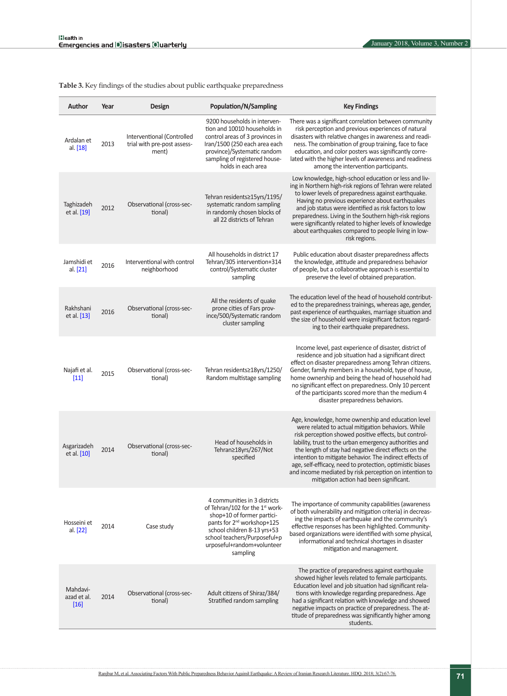<span id="page-4-0"></span>**Table 3.** Key findings of the studies about public earthquake preparedness

| <b>Author</b>                   | Year | Design                                                             | Population/N/Sampling                                                                                                                                                                                                                              | <b>Key Findings</b>                                                                                                                                                                                                                                                                                                                                                                                                                                                                                               |
|---------------------------------|------|--------------------------------------------------------------------|----------------------------------------------------------------------------------------------------------------------------------------------------------------------------------------------------------------------------------------------------|-------------------------------------------------------------------------------------------------------------------------------------------------------------------------------------------------------------------------------------------------------------------------------------------------------------------------------------------------------------------------------------------------------------------------------------------------------------------------------------------------------------------|
| Ardalan et<br>al. [18]          | 2013 | Interventional (Controlled<br>trial with pre-post assess-<br>ment) | 9200 households in interven-<br>tion and 10010 households in<br>control areas of 3 provinces in<br>Iran/1500 (250 each area each<br>province)/Systematic random<br>sampling of registered house-<br>holds in each area                             | There was a significant correlation between community<br>risk perception and previous experiences of natural<br>disasters with relative changes in awareness and readi-<br>ness. The combination of group training, face to face<br>education, and color posters was significantly corre-<br>lated with the higher levels of awareness and readiness<br>among the intervention participants.                                                                                                                      |
| Taghizadeh<br>et al. [19]       | 2012 | Observational (cross-sec-<br>tional)                               | Tehran residents ≥15yrs/1195/<br>systematic random sampling<br>in randomly chosen blocks of<br>all 22 districts of Tehran                                                                                                                          | Low knowledge, high-school education or less and liv-<br>ing in Northern high-risk regions of Tehran were related<br>to lower levels of preparedness against earthquake.<br>Having no previous experience about earthquakes<br>and job status were identified as risk factors to low<br>preparedness. Living in the Southern high-risk regions<br>were significantly related to higher levels of knowledge<br>about earthquakes compared to people living in low-<br>risk regions.                                |
| Jamshidi et<br>al. $[21]$       | 2016 | Interventional with control<br>neighborhood                        | All households in district 17<br>Tehran/305 intervention+314<br>control/Systematic cluster<br>sampling                                                                                                                                             | Public education about disaster preparedness affects<br>the knowledge, attitude and preparedness behavior<br>of people, but a collaborative approach is essential to<br>preserve the level of obtained preparation.                                                                                                                                                                                                                                                                                               |
| Rakhshani<br>et al. [13]        | 2016 | Observational (cross-sec-<br>tional)                               | All the residents of quake<br>prone cities of Fars prov-<br>ince/500/Systematic random<br>cluster sampling                                                                                                                                         | The education level of the head of household contribut-<br>ed to the preparedness trainings, whereas age, gender,<br>past experience of earthquakes, marriage situation and<br>the size of household were insignificant factors regard-<br>ing to their earthquake preparedness.                                                                                                                                                                                                                                  |
| Najafi et al.<br>$[11]$         | 2015 | Observational (cross-sec-<br>tional)                               | Tehran residents≥18yrs/1250/<br>Random multistage sampling                                                                                                                                                                                         | Income level, past experience of disaster, district of<br>residence and job situation had a significant direct<br>effect on disaster preparedness among Tehran citizens.<br>Gender, family members in a household, type of house,<br>home ownership and being the head of household had<br>no significant effect on preparedness. Only 10 percent<br>of the participants scored more than the medium 4<br>disaster preparedness behaviors.                                                                        |
| Asgarizadeh<br>et al. $[10]$    | 2014 | Observational (cross-sec-<br>tional)                               | Head of households in<br>Tehran≥18yrs/267/Not<br>specified                                                                                                                                                                                         | Age, knowledge, home ownership and education level<br>were related to actual mitigation behaviors. While<br>risk perception showed positive effects, but control-<br>lability, trust to the urban emergency authorities and<br>the length of stay had negative direct effects on the<br>intention to mitigate behavior. The indirect effects of<br>age, self-efficacy, need to protection, optimistic biases<br>and income mediated by risk perception on intention to<br>mitigation action had been significant. |
| Hosseini et<br>al. [22]         | 2014 | Case study                                                         | 4 communities in 3 districts<br>of Tehran/102 for the $1st$ work-<br>shop+10 of former partici-<br>pants for 2 <sup>nd</sup> workshop+125<br>school children 8-13 yrs+53<br>school teachers/Purposeful+p<br>urposeful+random+volunteer<br>sampling | The importance of community capabilities (awareness<br>of both vulnerability and mitigation criteria) in decreas-<br>ing the impacts of earthquake and the community's<br>effective responses has been highlighted. Community-<br>based organizations were identified with some physical,<br>informational and technical shortages in disaster<br>mitigation and management.                                                                                                                                      |
| Mahdavi-<br>azad et al.<br>[16] | 2014 | Observational (cross-sec-<br>tional)                               | Adult citizens of Shiraz/384/<br>Stratified random sampling                                                                                                                                                                                        | The practice of preparedness against earthquake<br>showed higher levels related to female participants.<br>Education level and job situation had significant rela-<br>tions with knowledge regarding preparedness. Age<br>had a significant relation with knowledge and showed<br>negative impacts on practice of preparedness. The at-<br>titude of preparedness was significantly higher among<br>students.                                                                                                     |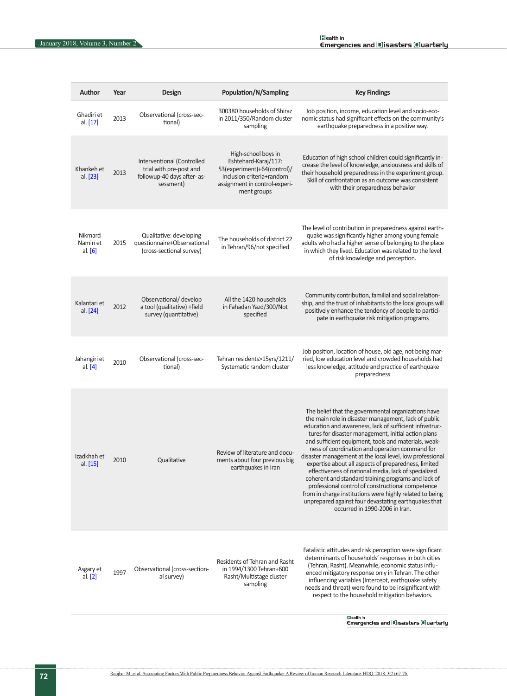| <b>Author</b>                    | Year | Design                                                                                            | <b>Population/N/Sampling</b>                                                                                                                            | <b>Key Findings</b>                                                                                                                                                                                                                                                                                                                                                                                                                                                                                                                                                                                                                                                                                                                                                                   |
|----------------------------------|------|---------------------------------------------------------------------------------------------------|---------------------------------------------------------------------------------------------------------------------------------------------------------|---------------------------------------------------------------------------------------------------------------------------------------------------------------------------------------------------------------------------------------------------------------------------------------------------------------------------------------------------------------------------------------------------------------------------------------------------------------------------------------------------------------------------------------------------------------------------------------------------------------------------------------------------------------------------------------------------------------------------------------------------------------------------------------|
| Ghadiri et<br>al. [17]           | 2013 | Observational (cross-sec-<br>tional)                                                              | 300380 households of Shiraz<br>in 2011/350/Random cluster<br>sampling                                                                                   | Job position, income, education level and socio-eco-<br>nomic status had significant effects on the community's<br>earthquake preparedness in a positive way.                                                                                                                                                                                                                                                                                                                                                                                                                                                                                                                                                                                                                         |
| Khankeh et<br>al. [23]           | 2013 | Interventional (Controlled<br>trial with pre-post and<br>followup-40 days after- as-<br>sessment) | High-school boys in<br>Eshtehard-Karaj/117:<br>53(experiment)+64(control)/<br>Inclusion criteria+random<br>assignment in control-experi-<br>ment groups | Education of high school children could significantly in-<br>crease the level of knowledge, anxiousness and skills of<br>their household preparedness in the experiment group.<br>Skill of confrontation as an outcome was consistent<br>with their preparedness behavior                                                                                                                                                                                                                                                                                                                                                                                                                                                                                                             |
| Nikmard<br>Namin et<br>al. $[6]$ | 2015 | Qualitative: developing<br>questionnaire+Observational<br>(cross-sectional survey)                | The households of district 22<br>in Tehran/96/not specified                                                                                             | The level of contribution in preparedness against earth-<br>quake was significantly higher among young female<br>adults who had a higher sense of belonging to the place<br>in which they lived. Education was related to the level<br>of risk knowledge and perception.                                                                                                                                                                                                                                                                                                                                                                                                                                                                                                              |
| Kalantari et<br>al. [24]         | 2012 | Observational/ develop<br>a tool (qualitative) +field<br>survey (quantitative)                    | All the 1420 households<br>in Fahadan Yazd/300/Not<br>specified                                                                                         | Community contribution, familial and social relation-<br>ship, and the trust of inhabitants to the local groups will<br>positively enhance the tendency of people to partici-<br>pate in earthquake risk mitigation programs                                                                                                                                                                                                                                                                                                                                                                                                                                                                                                                                                          |
| Jahangiri et<br>al. $[4]$        | 2010 | Observational (cross-sec-<br>tional)                                                              | Tehran residents>15yrs/1211/<br>Systematic random cluster                                                                                               | Job position, location of house, old age, not being mar-<br>ried, low education level and crowded households had<br>less knowledge, attitude and practice of earthquake<br>preparedness                                                                                                                                                                                                                                                                                                                                                                                                                                                                                                                                                                                               |
| Izadkhah et<br>al. [15]          | 2010 | Qualitative                                                                                       | Review of literature and docu-<br>ments about four previous big<br>earthquakes in Iran                                                                  | The belief that the governmental organizations have<br>the main role in disaster management, lack of public<br>education and awareness, lack of sufficient infrastruc-<br>tures for disaster management, initial action plans<br>and sufficient equipment, tools and materials, weak-<br>ness of coordination and operation command for<br>disaster management at the local level, low professional<br>expertise about all aspects of preparedness, limited<br>effectiveness of national media, lack of specialized<br>coherent and standard training programs and lack of<br>professional control of constructional competence<br>from in charge institutions were highly related to being<br>unprepared against four devastating earthquakes that<br>occurred in 1990-2006 in Iran. |
| Asgary et<br>al. $[2]$           | 1997 | Observational (cross-section-<br>al survey)                                                       | Residents of Tehran and Rasht<br>in 1994/1300 Tehran+600<br>Rasht/Multistage cluster<br>sampling                                                        | Fatalistic attitudes and risk perception were significant<br>determinants of households' responses in both cities<br>(Tehran, Rasht). Meanwhile, economic status influ-<br>enced mitigatory response only in Tehran. The other<br>influencing variables (Intercept, earthquake safety<br>needs and threat) were found to be insignificant with<br>respect to the household mitigation behaviors.                                                                                                                                                                                                                                                                                                                                                                                      |

|Healthin<br>Emergencies and |D]isasters [O]uarterly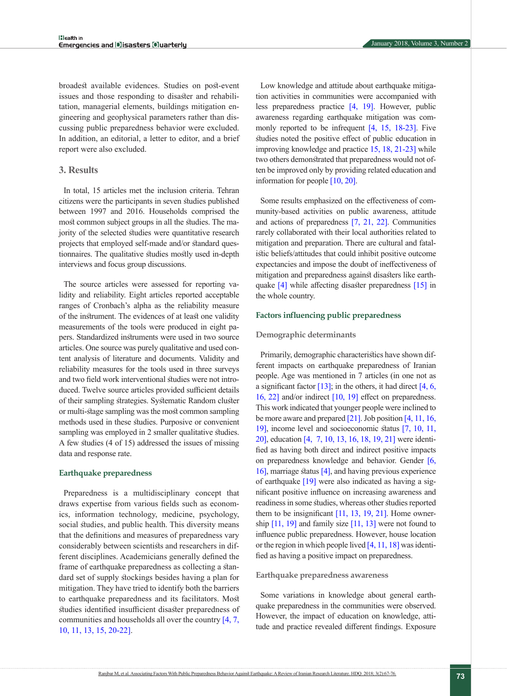broadest available evidences. Studies on post-event issues and those responding to disaster and rehabilitation, managerial elements, buildings mitigation engineering and geophysical parameters rather than discussing public preparedness behavior were excluded. In addition, an editorial, a letter to editor, and a brief report were also excluded.

# **3. Results**

In total, 15 articles met the inclusion criteria. Tehran citizens were the participants in seven studies published between 1997 and 2016. Households comprised the most common subject groups in all the studies. The majority of the selected studies were quantitative research projects that employed self-made and/or standard questionnaires. The qualitative studies mostly used in-depth interviews and focus group discussions.

The source articles were assessed for reporting validity and reliability. Eight articles reported acceptable ranges of Cronbach's alpha as the reliability measure of the instrument. The evidences of at least one validity measurements of the tools were produced in eight papers. Standardized instruments were used in two source articles. One source was purely qualitative and used content analysis of literature and documents. Validity and reliability measures for the tools used in three surveys and two field work interventional studies were not introduced. Twelve source articles provided sufficient details of their sampling strategies. Systematic Random cluster or multi-stage sampling was the most common sampling methods used in these studies. Purposive or convenient sampling was employed in 2 smaller qualitative studies. A few studies (4 of 15) addressed the issues of missing data and response rate.

#### **Earthquake preparedness**

Preparedness is a multidisciplinary concept that draws expertise from various fields such as economics, information technology, medicine, psychology, social studies, and public health. This diversity means that the definitions and measures of preparedness vary considerably between scientists and researchers in different disciplines. Academicians generally defined the frame of earthquake preparedness as collecting a standard set of supply stockings besides having a plan for mitigation. They have tried to identify both the barriers to earthquake preparedness and its facilitators. Most studies identified insufficient disaster preparedness of communities and households all over the country [\[4,](#page-7-3) [7,](#page-8-1) [10,](#page-8-4) [11,](#page-8-6) [13,](#page-8-12) [15,](#page-8-5) [20-22\]](#page-8-16).

Low knowledge and attitude about earthquake mitigation activities in communities were accompanied with less preparedness practice [\[4,](#page-7-3) [19\].](#page-8-10) However, public awareness regarding earthquake mitigation was commonly reported to be infrequent [\[4,](#page-7-3) [15,](#page-8-5) [18-23\]](#page-8-9). Five studies noted the positive effect of public education in improving knowledge and practice [15,](#page-8-5) [18,](#page-8-9) [21-23\]](#page-8-11) while two others demonstrated that preparedness would not often be improved only by providing related education and information for people [\[10,](#page-8-4) [20\].](#page-8-16)

Some results emphasized on the effectiveness of community-based activities on public awareness, attitude and actions of preparedness [\[7,](#page-8-1) [21,](#page-8-11) [22\].](#page-8-13) Communities rarely collaborated with their local authorities related to mitigation and preparation. There are cultural and fatalistic beliefs/attitudes that could inhibit positive outcome expectancies and impose the doubt of ineffectiveness of mitigation and preparedness against disasters like earthquake [\[4\]](#page-7-3) while affecting disaster preparedness [\[15\]](#page-8-5) in the whole country.

#### **Factors influencing public preparedness**

#### **Demographic determinants**

Primarily, demographic characteristics have shown different impacts on earthquake preparedness of Iranian people. Age was mentioned in 7 articles (in one not as a significant factor  $[13]$ ; in the others, it had direct  $[4, 6, 1]$  $[4, 6, 1]$  $[4, 6, 1]$ [16,](#page-8-7) [22\]](#page-8-13) and/or indirect [\[10,](#page-8-4) [19\]](#page-8-10) effect on preparedness. This work indicated that younger people were inclined to be more aware and prepared [\[21\].](#page-8-11) Job position [\[4,](#page-7-3) [11,](#page-8-6) [16,](#page-8-7) [19\],](#page-8-10) income level and socioeconomic status [\[7,](#page-8-1) [10,](#page-8-4) [11,](#page-8-6) [20\],](#page-8-16) education [\[4,](#page-7-3) [7,](#page-8-1) [10,](#page-8-4) [13,](#page-8-12) [16,](#page-8-7) [18,](#page-8-9) [19,](#page-8-10) [21\]](#page-8-11) were identified as having both direct and indirect positive impacts on preparedness knowledge and behavior. Gender [\[6,](#page-8-0)  [16\],](#page-8-7) marriage status [\[4\]](#page-7-3), and having previous experience of earthquake [\[19\]](#page-8-16) were also indicated as having a significant positive influence on increasing awareness and readiness in some studies, whereas other studies reported them to be insignificant [\[11,](#page-8-6) [13,](#page-8-12) [19,](#page-8-10) [21\].](#page-8-11) Home ownership  $[11, 19]$  $[11, 19]$  and family size  $[11, 13]$  $[11, 13]$  were not found to influence public preparedness. However, house location or the region in which people lived [\[4,](#page-7-3) [11,](#page-8-6) [18\]](#page-8-9) was identified as having a positive impact on preparedness.

#### **Earthquake preparedness awareness**

Some variations in knowledge about general earthquake preparedness in the communities were observed. However, the impact of education on knowledge, attitude and practice revealed different findings. Exposure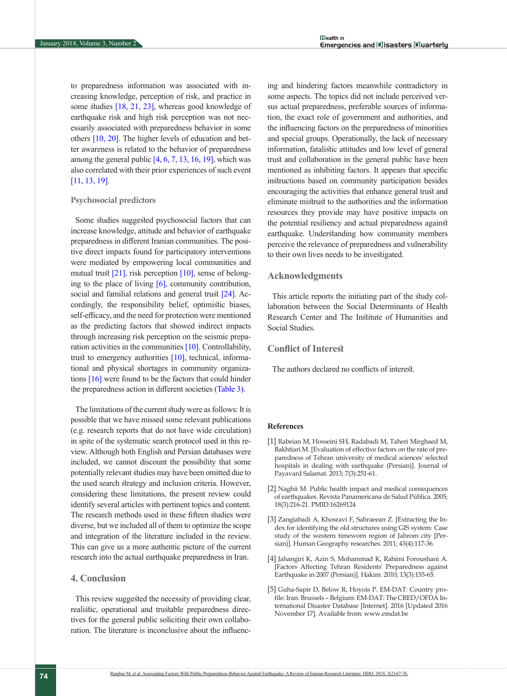to preparedness information was associated with increasing knowledge, perception of risk, and practice in some studies  $[18, 21, 23]$  $[18, 21, 23]$  $[18, 21, 23]$  $[18, 21, 23]$  $[18, 21, 23]$ , whereas good knowledge of earthquake risk and high risk perception was not necessarily associated with preparedness behavior in some others [\[10,](#page-8-4) [20\].](#page-8-16) The higher levels of education and better awareness is related to the behavior of preparedness among the general public  $[4, 6, 7, 13, 16, 19]$  $[4, 6, 7, 13, 16, 19]$  $[4, 6, 7, 13, 16, 19]$  $[4, 6, 7, 13, 16, 19]$  $[4, 6, 7, 13, 16, 19]$  $[4, 6, 7, 13, 16, 19]$  $[4, 6, 7, 13, 16, 19]$  $[4, 6, 7, 13, 16, 19]$  $[4, 6, 7, 13, 16, 19]$ , which was also correlated with their prior experiences of such event [\[11,](#page-8-6) [13,](#page-8-12) [19\].](#page-8-10)

### **Psychosocial predictors**

Some studies suggested psychosocial factors that can increase knowledge, attitude and behavior of earthquake preparedness in different Iranian communities. The positive direct impacts found for participatory interventions were mediated by empowering local communities and mutual trust [\[21\],](#page-8-11) risk perception [\[10\],](#page-8-4) sense of belonging to the place of living [\[6\]](#page-8-0), community contribution, social and familial relations and general trust [\[24\]](#page-8-15). Accordingly, the responsibility belief, optimistic biases, self-efficacy, and the need for protection were mentioned as the predicting factors that showed indirect impacts through increasing risk perception on the seismic preparation activities in the communities  $[10]$ . Controllability, trust to emergency authorities [\[10\],](#page-8-4) technical, informational and physical shortages in community organizations  $[16]$  were found to be the factors that could hinder the preparedness action in different societies [\(Table 3\).](#page-4-0)

The limitations of the current study were as follows: It is possible that we have missed some relevant publications (e.g. research reports that do not have wide circulation) in spite of the systematic search protocol used in this review. Although both English and Persian databases were included, we cannot discount the possibility that some potentially relevant studies may have been omitted due to the used search strategy and inclusion criteria. However, considering these limitations, the present review could identify several articles with pertinent topics and content. The research methods used in these fifteen studies were diverse, but we included all of them to optimize the scope and integration of the literature included in the review. This can give us a more authentic picture of the current research into the actual earthquake preparedness in Iran.

# **4. Conclusion**

This review suggested the necessity of providing clear, realistic, operational and trustable preparedness directives for the general public soliciting their own collaboration. The literature is inconclusive about the influencing and hindering factors meanwhile contradictory in some aspects. The topics did not include perceived versus actual preparedness, preferable sources of information, the exact role of government and authorities, and the influencing factors on the preparedness of minorities and special groups. Operationally, the lack of necessary information, fatalistic attitudes and low level of general trust and collaboration in the general public have been mentioned as inhibiting factors. It appears that specific instructions based on community participation besides encouraging the activities that enhance general trust and eliminate mistrust to the authorities and the information resources they provide may have positive impacts on the potential resiliency and actual preparedness against earthquake. Understanding how community members perceive the relevance of preparedness and vulnerability to their own lives needs to be investigated.

# **Acknowledgments**

This article reports the initiating part of the study collaboration between the Social Determinants of Health Research Center and The Institute of Humanities and Social Studies.

# **Conflict of Interest**

The authors declared no conflicts of interest.

#### **References**

- <span id="page-7-0"></span>[1] Rabeian M, Hosseini SH, Radabadi M, Taheri Mirghaed M, Bakhtiari M. [Evaluation of effective factors on the rate of preparedness of Tehran university of medical sciences' selected hospitals in dealing with earthquake (Persian)]. Journal of Payavard Salamat. 2013; 7(3):251-61.
- <span id="page-7-1"></span>[2] Naghii M. Public health impact and medical consequences of earthquakes. Revista Panamericana de Salud Pública. 2005; 18(3):216-21. PMID:16269124
- <span id="page-7-2"></span>[3] Zangiabadi A, Khosravi F, Sahraeean Z. [Extracting the Index for identifying the old structures using GIS system: Case study of the western timeworn region of Jahrom city [Persian)]. Human Geography researches. 2011; 43(4):117-36.
- <span id="page-7-3"></span>[4] Jahangiri K, Azin S, Mohammad K, Rahimi Foroushani A. [Factors Affecting Tehran Residents' Preparedness against Earthquake in 2007 (Persian)]. Hakim. 2010; 13(3):155-65.
- <span id="page-7-4"></span>[5] Guha-Sapir D, Below R, Hoyois P. EM-DAT: Country profile: Iran. Brussels – Belgium: EM-DAT: The CRED/OFDA International Disaster Database [Internet]. 2016 [Updated 2016 November 17]. Available from: www.emdat.be